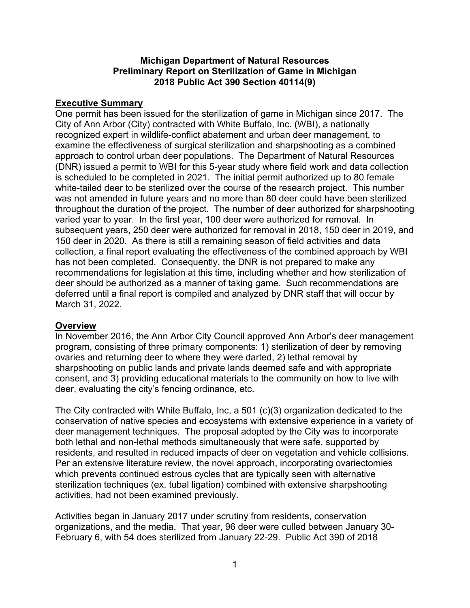#### **Michigan Department of Natural Resources Preliminary Report on Sterilization of Game in Michigan 2018 Public Act 390 Section 40114(9)**

## **Executive Summary**

One permit has been issued for the sterilization of game in Michigan since 2017. The City of Ann Arbor (City) contracted with White Buffalo, Inc. (WBI), a nationally recognized expert in wildlife-conflict abatement and urban deer management, to examine the effectiveness of surgical sterilization and sharpshooting as a combined approach to control urban deer populations. The Department of Natural Resources (DNR) issued a permit to WBI for this 5-year study where field work and data collection is scheduled to be completed in 2021. The initial permit authorized up to 80 female white-tailed deer to be sterilized over the course of the research project. This number was not amended in future years and no more than 80 deer could have been sterilized throughout the duration of the project. The number of deer authorized for sharpshooting varied year to year. In the first year, 100 deer were authorized for removal. In subsequent years, 250 deer were authorized for removal in 2018, 150 deer in 2019, and 150 deer in 2020. As there is still a remaining season of field activities and data collection, a final report evaluating the effectiveness of the combined approach by WBI has not been completed. Consequently, the DNR is not prepared to make any recommendations for legislation at this time, including whether and how sterilization of deer should be authorized as a manner of taking game. Such recommendations are deferred until a final report is compiled and analyzed by DNR staff that will occur by March 31, 2022.

# **Overview**

In November 2016, the Ann Arbor City Council approved Ann Arbor's deer management program, consisting of three primary components: 1) sterilization of deer by removing ovaries and returning deer to where they were darted, 2) lethal removal by sharpshooting on public lands and private lands deemed safe and with appropriate consent, and 3) providing educational materials to the community on how to live with deer, evaluating the city's fencing ordinance, etc.

The City contracted with White Buffalo, Inc, a 501 (c)(3) organization dedicated to the conservation of native species and ecosystems with extensive experience in a variety of deer management techniques. The proposal adopted by the City was to incorporate both lethal and non-lethal methods simultaneously that were safe, supported by residents, and resulted in reduced impacts of deer on vegetation and vehicle collisions. Per an extensive literature review, the novel approach, incorporating ovariectomies which prevents continued estrous cycles that are typically seen with alternative sterilization techniques (ex. tubal ligation) combined with extensive sharpshooting activities, had not been examined previously.

Activities began in January 2017 under scrutiny from residents, conservation organizations, and the media. That year, 96 deer were culled between January 30- February 6, with 54 does sterilized from January 22-29. Public Act 390 of 2018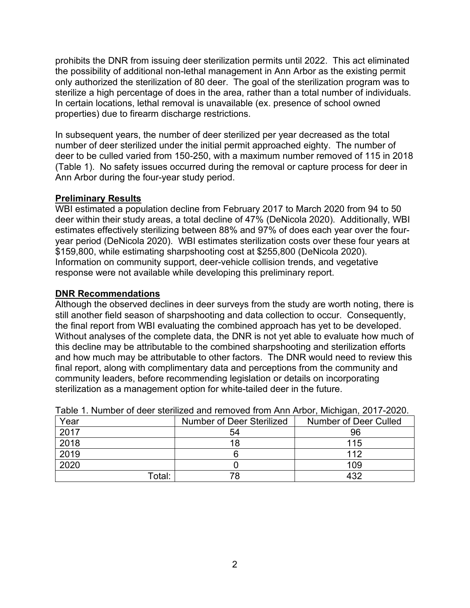prohibits the DNR from issuing deer sterilization permits until 2022. This act eliminated the possibility of additional non-lethal management in Ann Arbor as the existing permit only authorized the sterilization of 80 deer. The goal of the sterilization program was to sterilize a high percentage of does in the area, rather than a total number of individuals. In certain locations, lethal removal is unavailable (ex. presence of school owned properties) due to firearm discharge restrictions.

In subsequent years, the number of deer sterilized per year decreased as the total number of deer sterilized under the initial permit approached eighty. The number of deer to be culled varied from 150-250, with a maximum number removed of 115 in 2018 (Table 1). No safety issues occurred during the removal or capture process for deer in Ann Arbor during the four-year study period.

## **Preliminary Results**

WBI estimated a population decline from February 2017 to March 2020 from 94 to 50 deer within their study areas, a total decline of 47% (DeNicola 2020). Additionally, WBI estimates effectively sterilizing between 88% and 97% of does each year over the fouryear period (DeNicola 2020). WBI estimates sterilization costs over these four years at \$159,800, while estimating sharpshooting cost at \$255,800 (DeNicola 2020). Information on community support, deer-vehicle collision trends, and vegetative response were not available while developing this preliminary report.

#### **DNR Recommendations**

Although the observed declines in deer surveys from the study are worth noting, there is still another field season of sharpshooting and data collection to occur. Consequently, the final report from WBI evaluating the combined approach has yet to be developed. Without analyses of the complete data, the DNR is not yet able to evaluate how much of this decline may be attributable to the combined sharpshooting and sterilization efforts and how much may be attributable to other factors. The DNR would need to review this final report, along with complimentary data and perceptions from the community and community leaders, before recommending legislation or details on incorporating sterilization as a management option for white-tailed deer in the future.

| Table 1. Natiliber of acer sichilized and femoved from Anit Albor, Michigan, Zu i <i>f</i> "Zuzu. |                           |                       |
|---------------------------------------------------------------------------------------------------|---------------------------|-----------------------|
| Year                                                                                              | Number of Deer Sterilized | Number of Deer Culled |
| 2017                                                                                              | 54                        | 96                    |
| 2018                                                                                              | 18                        | 115                   |
| 2019                                                                                              |                           | 112                   |
| 2020                                                                                              |                           | 109                   |
| Total:                                                                                            | 78                        | 432                   |

Table 1. Number of deer sterilized and removed from Ann Arbor, Michigan, 2017-2020.